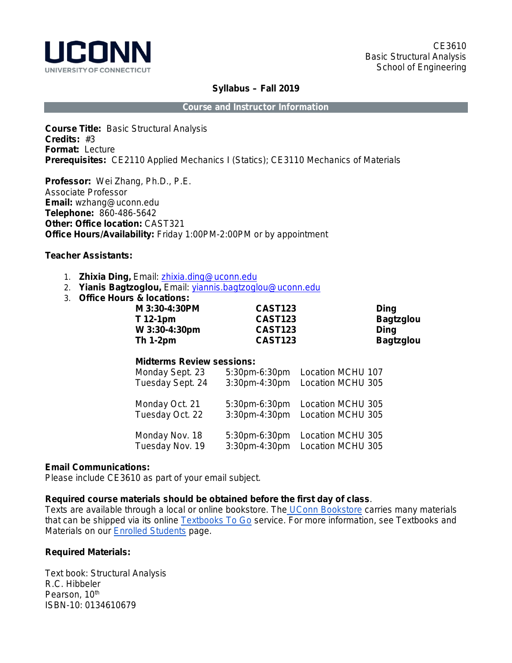

#### **Syllabus – Fall 2019**

**Course and Instructor Information**

**Course Title:** Basic Structural Analysis **Credits:** #3 **Format:** Lecture **Prerequisites:** CE2110 Applied Mechanics I (Statics); CE3110 Mechanics of Materials

**Professor:** Wei Zhang, Ph.D., P.E. Associate Professor **Email:** wzhang@uconn.edu **Telephone:** 860-486-5642 **Other: Office location:** CAST321 **Office Hours/Availability:** Friday 1:00PM-2:00PM or by appointment

## **Teacher Assistants:**

- 1. **Zhixia Ding,** Email: zhixia.ding@uconn.edu
- 2. **Yianis Bagtzoglou,** Email: yiannis.bagtzoglou@uconn.edu
- 3. **Office Hours & locations:**

| <b>CAST123</b> | Dina             |
|----------------|------------------|
| <b>CAST123</b> | <b>Bagtzglou</b> |
| <b>CAST123</b> | Dina             |
| <b>CAST123</b> | <b>Bagtzglou</b> |
|                |                  |

## **Midterms Review sessions:**

| Monday Sept. 23  | 5:30pm-6:30pm | Location MCHU 107 |
|------------------|---------------|-------------------|
| Tuesday Sept. 24 | 3:30pm-4:30pm | Location MCHU 305 |
| Monday Oct. 21   | 5:30pm-6:30pm | Location MCHU 305 |
| Tuesday Oct. 22  | 3:30pm-4:30pm | Location MCHU 305 |
| Monday Nov. 18   | 5:30pm-6:30pm | Location MCHU 305 |
| Tuesday Nov. 19  | 3:30pm-4:30pm | Location MCHU 305 |

## **Email Communications:**

Please include CE3610 as part of your email subject.

#### **Required course materials should be obtained before the first day of class**.

Texts are available through a local or online bookstore. The [UConn B](http://bookstore.uconn.edu/index.html)ookstore carries many materials that can be shipped via its online [Textbooks To Go](http://bookstore.uconn.edu/text/ttg.html) service. For more information, see Textbooks and Materials on our [Enrolled Students](http://ecampus.uconn.edu/enrolled_students.html) page.

## **Required Materials:**

Text book: Structural Analysis R.C. Hibbeler Pearson, 10<sup>th</sup> ISBN-10: 0134610679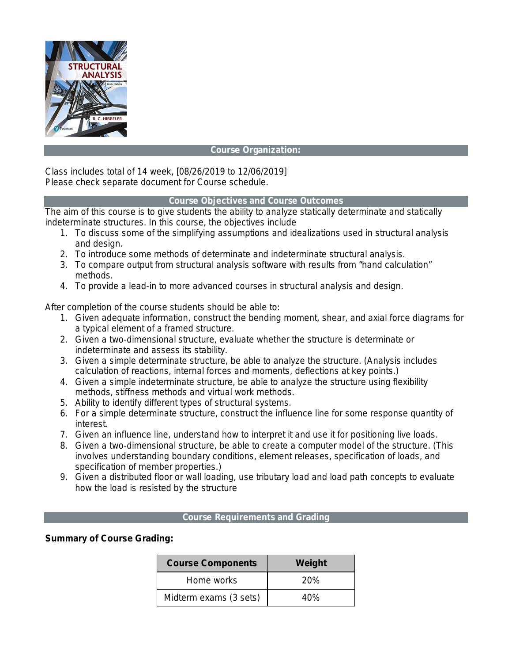

## **Course Organization:**

Class includes total of 14 week, [08/26/2019 to 12/06/2019] Please check separate document for Course schedule.

## **Course Objectives and Course Outcomes**

The aim of this course is to give students the ability to analyze statically determinate and statically indeterminate structures. In this course, the objectives include

- 1. To discuss some of the simplifying assumptions and idealizations used in structural analysis and design.
- 2. To introduce some methods of determinate and indeterminate structural analysis.
- 3. To compare output from structural analysis software with results from "hand calculation" methods.
- 4. To provide a lead‐in to more advanced courses in structural analysis and design.

After completion of the course students should be able to:

- 1. Given adequate information, construct the bending moment, shear, and axial force diagrams for a typical element of a framed structure.
- 2. Given a two-dimensional structure, evaluate whether the structure is determinate or indeterminate and assess its stability.
- 3. Given a simple determinate structure, be able to analyze the structure. (Analysis includes calculation of reactions, internal forces and moments, deflections at key points.)
- 4. Given a simple indeterminate structure, be able to analyze the structure using flexibility methods, stiffness methods and virtual work methods.
- 5. Ability to identify different types of structural systems.
- 6. For a simple determinate structure, construct the influence line for some response quantity of interest.
- 7. Given an influence line, understand how to interpret it and use it for positioning live loads.
- 8. Given a two‐dimensional structure, be able to create a computer model of the structure. (This involves understanding boundary conditions, element releases, specification of loads, and specification of member properties.)
- 9. Given a distributed floor or wall loading, use tributary load and load path concepts to evaluate how the load is resisted by the structure

## **Course Requirements and Grading**

**Summary of Course Grading:**

| <b>Course Components</b> | Weight     |  |
|--------------------------|------------|--|
| Home works               | <b>20%</b> |  |
| Midterm exams (3 sets)   | 40%        |  |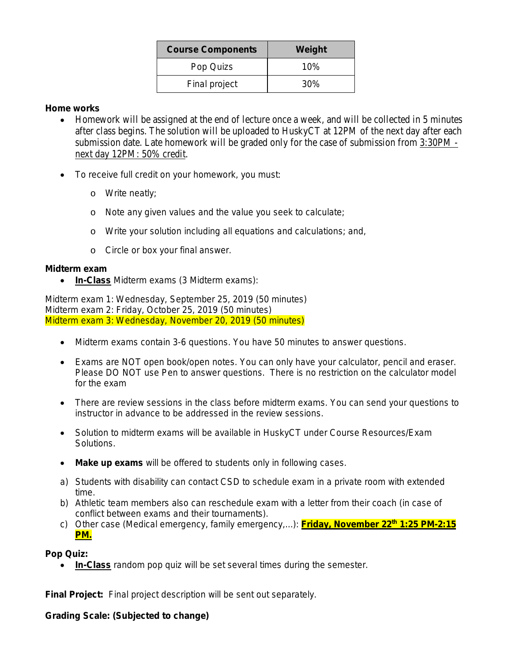| <b>Course Components</b> | Weight |  |
|--------------------------|--------|--|
| Pop Quizs                | 10%    |  |
| Final project            | 30%    |  |

## **Home works**

- Homework will be assigned at the end of lecture once a week, and will be collected in 5 minutes after class begins. The solution will be uploaded to HuskyCT at 12PM of the next day after each submission date. Late homework will be graded only for the case of submission from 3:30PM next day 12PM: 50% credit.
- To receive full credit on your homework, you must:
	- o Write neatly;
	- o Note any given values and the value you seek to calculate;
	- o Write your solution including all equations and calculations; and,
	- o Circle or box your final answer.

# **Midterm exam**

• **In-Class** Midterm exams (3 Midterm exams):

Midterm exam 1: Wednesday, September 25, 2019 (50 minutes) Midterm exam 2: Friday, October 25, 2019 (50 minutes) Midterm exam 3: Wednesday, November 20, 2019 (50 minutes)

- Midterm exams contain 3-6 questions. You have 50 minutes to answer questions.
- Exams are NOT open book/open notes. You can only have your calculator, pencil and eraser. Please DO NOT use Pen to answer questions. There is no restriction on the calculator model for the exam
- There are review sessions in the class before midterm exams. You can send your questions to instructor in advance to be addressed in the review sessions.
- Solution to midterm exams will be available in HuskyCT under Course Resources/Exam Solutions.
- **Make up exams** will be offered to students only in following cases.
- a) Students with disability can contact CSD to schedule exam in a private room with extended time.
- b) Athletic team members also can reschedule exam with a letter from their coach (in case of conflict between exams and their tournaments).
- c) Other case (Medical emergency, family emergency,...): **Friday, November 22th 1:25 PM-2:15 PM.**

# **Pop Quiz:**

• **In-Class** random pop quiz will be set several times during the semester.

**Final Project:** Final project description will be sent out separately.

# **Grading Scale: (Subjected to change)**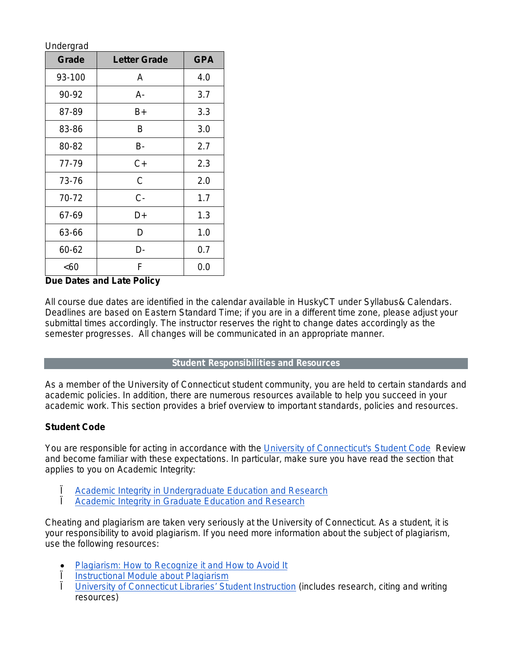|  |  | Undergrad |
|--|--|-----------|
|  |  |           |

| Grade  | <b>Letter Grade</b> | <b>GPA</b> |
|--------|---------------------|------------|
| 93-100 | Α                   | 4.0        |
| 90-92  | A-                  | 3.7        |
| 87-89  | B+                  | 3.3        |
| 83-86  | B                   | 3.0        |
| 80-82  | B-                  | 2.7        |
| 77-79  | C+                  | 2.3        |
| 73-76  | С                   | 2.0        |
| 70-72  | C-                  | 1.7        |
| 67-69  | D+                  | 1.3        |
| 63-66  | D                   | 1.0        |
| 60-62  | D-                  | 0.7        |
| <60    | F                   | 0.0        |

## **Due Dates and Late Policy**

All course due dates are identified in the calendar available in HuskyCT under Syllabus& Calendars. Deadlines are based on Eastern Standard Time; if you are in a different time zone, please adjust your submittal times accordingly. *The instructor reserves the right to change dates accordingly as the semester progresses. All changes will be communicated in an appropriate manner.*

## **Student Responsibilities and Resources**

As a member of the University of Connecticut student community, you are held to certain standards and academic policies. In addition, there are numerous resources available to help you succeed in your academic work. This section provides a brief overview to important standards, policies and resources.

## **Student Code**

You are responsible for acting in accordance with the [University of Connecticut's Student Code](http://www.community.uconn.edu/student_code.html) Review and become familiar with these expectations. In particular, make sure you have read the section that applies to you on Academic Integrity:

- I [Academic Integrity in Undergraduate Education and Research](http://www.community.uconn.edu/student_code_appendixa.html)<br>
Lacademic Integrity in Graduate Education and Research
- [Academic Integrity in Graduate Education and Research](http://web9.uits.uconn.edu/gradschool/current/academic_integrity.html)

Cheating and plagiarism are taken very seriously at the University of Connecticut. As a student, it is your responsibility to avoid plagiarism. If you need more information about the subject of plagiarism, use the following resources:

- [Plagiarism: How to Recognize it and How to Avoid It](http://lib.uconn.edu/instruction/tutorials/plagiarism.htm)
- <u>I [Instructional Module about Plagiarism](http://irc.uconn.edu/PlagiarismModule/intro_m.htm)</u><br>
I University of Connecticut Libraries' Stu
- [University of Connecticut Libraries' Student Instruction](http://lib.uconn.edu/instruction/students.htm) (includes research, citing and writing resources)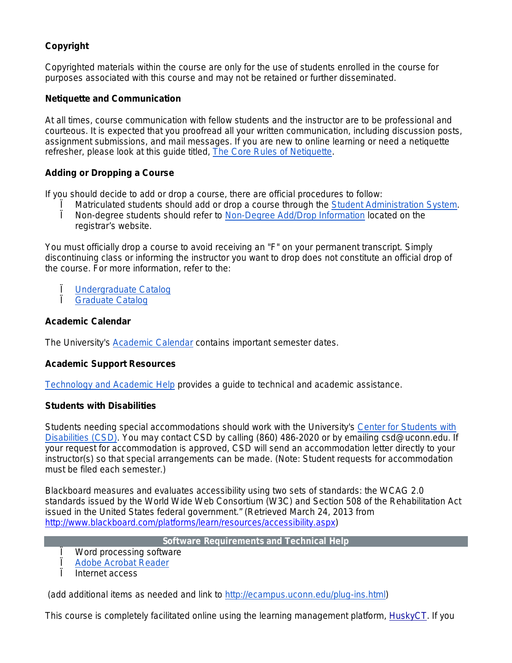# **Copyright**

Copyrighted materials within the course are only for the use of students enrolled in the course for purposes associated with this course and may not be retained or further disseminated.

## **Netiquette and Communication**

At all times, course communication with fellow students and the instructor are to be professional and courteous. It is expected that you proofread all your written communication, including discussion posts, assignment submissions, and mail messages. If you are new to online learning or need a netiquette refresher, please look at this guide titled, [The Core Rules of Netiquette.](http://www.albion.com/netiquette/corerules.html)

## **Adding or Dropping a Course**

If you should decide to add or drop a course, there are official procedures to follow:

- Matriculated students should add or drop a course through the [Student Administration System.](https://student.studentadmin.uconn.edu/)
- Ï Non-degree students should refer to [Non-Degree Add/Drop Information](http://nondegree.uconn.edu/options.htm) located on the registrar's website.

You must officially drop a course to avoid receiving an "F" on your permanent transcript. Simply discontinuing class or informing the instructor you want to drop does not constitute an official drop of the course. For more information, refer to the:

- **Ü** [Undergraduate Catalog](http://catalog.uconn.edu/)<br>La Graduate Catalog
- Graduate Catalog

## **Academic Calendar**

The University's [Academic Calendar](http://www.registrar.uconn.edu/calendar.htm) contains important semester dates.

## **Academic Support Resources**

[Technology and Academic Help](http://ecampus.uconn.edu/help.html) provides a guide to technical and academic assistance.

## **Students with Disabilities**

Students needing special accommodations should work with the University's [Center for Students with](http://www.csd.uconn.edu/index.html)  [Disabilities \(CSD\).](http://www.csd.uconn.edu/index.html) You may contact CSD by calling (860) 486-2020 or by emailing csd@uconn.edu. If your request for accommodation is approved, CSD will send an accommodation letter directly to your instructor(s) so that special arrangements can be made. (Note: Student requests for accommodation must be filed each semester.)

Blackboard measures and evaluates accessibility using two sets of standards: the WCAG 2.0 standards issued by the World Wide Web Consortium (W3C) and Section 508 of the Rehabilitation Act issued in the United States federal government." (Retrieved March 24, 2013 from [http://www.blackboard.com/platforms/learn/resources/accessibility.aspx\)](http://www.blackboard.com/platforms/learn/resources/accessibility.aspx)

**Software Requirements and Technical Help**

- Word processing software
- **[Adobe Acrobat Reader](http://www.adobe.com/products/acrobat/readstep2.html)**
- Internet access

(add additional items as needed and link to [http://ecampus.uconn.edu/plug-ins.html\)](http://ecampus.uconn.edu/plug-ins.html)

This course is completely facilitated online using the learning management platform, [HuskyCT.](http://huskyct.uconn.edu/) If you